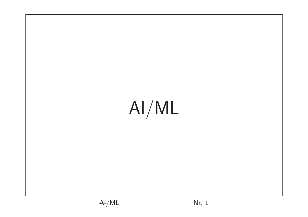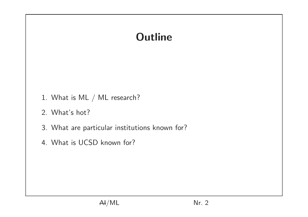## **Outline**

- 1. What is ML / ML research?
- 2. What's hot?
- 3. What are particular institutions known for?
- 4. What is UCSD known for?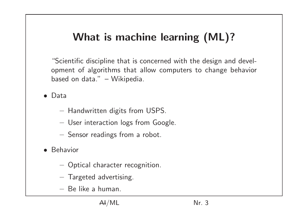# What is machine learning (ML)?

"Scientific discipline that is concerned with the design and development of algorithms that allow computers to change behavior based on data." – Wikipedia.

• Data

- Handwritten digits from USPS.
- User interaction logs from Google.
- Sensor readings from a robot.
- Behavior
	- Optical character recognition.
	- Targeted advertising.
	- Be like a human.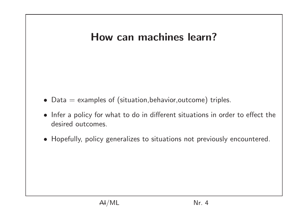#### How can machines learn?

- Data  $=$  examples of (situation, behavior, outcome) triples.
- Infer a policy for what to do in different situations in order to effect the desired outcomes.
- Hopefully, policy generalizes to situations not previously encountered.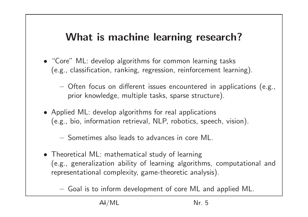#### What is machine learning research?

- "Core" ML: develop algorithms for common learning tasks (e.g., classification, ranking, regression, reinforcement learning).
	- Often focus on different issues encountered in applications (e.g., prior knowledge, multiple tasks, sparse structure).
- Applied ML: develop algorithms for real applications (e.g., bio, information retrieval, NLP, robotics, speech, vision).

– Sometimes also leads to advances in core ML.

• Theoretical ML: mathematical study of learning (e.g., generalization ability of learning algorithms, computational and representational complexity, game-theoretic analysis).

– Goal is to inform development of core ML and applied ML.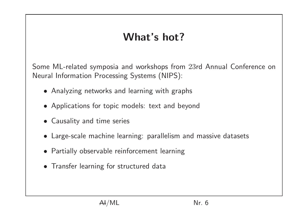#### What's hot?

Some ML-related symposia and workshops from 23rd Annual Conference on Neural Information Processing Systems (NIPS):

- Analyzing networks and learning with graphs
- Applications for topic models: text and beyond
- Causality and time series
- Large-scale machine learning: parallelism and massive datasets
- Partially observable reinforcement learning
- Transfer learning for structured data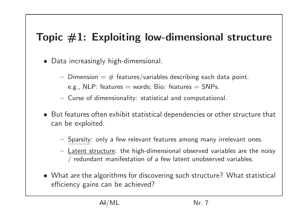### Topic  $\#1$ : Exploiting low-dimensional structure

- Data increasingly high-dimensional.
	- Dimension  $=$   $#$  features/variables describing each data point.
		- e.g., NLP: features  $=$  words; Bio: features  $=$  SNPs.
	- Curse of dimensionality: statistical and computational.
- But features often exhibit statistical dependencies or other structure that can be exploited.
	- Sparsity: only a few relevant features among many irrelevant ones.
	- Latent structure: the high-dimensional observed variables are the noisy / redundant manifestation of a few latent unobserved variables.
- What are the algorithms for discovering such structure? What statistical efficiency gains can be achieved?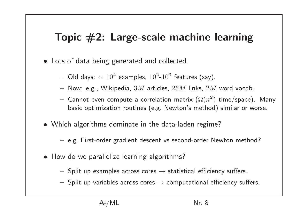#### Topic  $#2$ : Large-scale machine learning

- Lots of data being generated and collected.
	- $-$  Old days:  $\sim 10^4$  examples,  $10^2$ - $10^3$  features (say).
	- Now: e.g., Wikipedia,  $3M$  articles,  $25M$  links,  $2M$  word vocab.
	- $-$  Cannot even compute a correlation matrix  $(\Omega(n^2)$  time/space). Many basic optimization routines (e.g. Newton's method) similar or worse.
- Which algorithms dominate in the data-laden regime?
	- e.g. First-order gradient descent vs second-order Newton method?
- How do we parallelize learning algorithms?
	- $-$  Split up examples across cores  $\rightarrow$  statistical efficiency suffers.
	- $-$  Split up variables across cores  $\rightarrow$  computational efficiency suffers.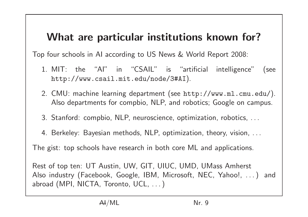#### What are particular institutions known for?

Top four schools in AI according to US News & World Report 2008:

- 1. MIT: the "AI" in "CSAIL" is "artificial intelligence" (see http://www.csail.mit.edu/node/3#AI).
- 2. CMU: machine learning department (see http://www.ml.cmu.edu/). Also departments for compbio, NLP, and robotics; Google on campus.
- 3. Stanford: compbio, NLP, neuroscience, optimization, robotics, . . .
- 4. Berkeley: Bayesian methods, NLP, optimization, theory, vision, . . .

The gist: top schools have research in both core ML and applications.

Rest of top ten: UT Austin, UW, GIT, UIUC, UMD, UMass Amherst Also industry (Facebook, Google, IBM, Microsoft, NEC, Yahoo!, . . . ) and abroad (MPI, NICTA, Toronto, UCL, ...)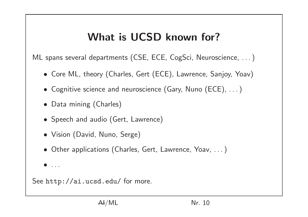# What is UCSD known for?

ML spans several departments (CSE, ECE, CogSci, Neuroscience, ...)

- Core ML, theory (Charles, Gert (ECE), Lawrence, Sanjoy, Yoav)
- Cognitive science and neuroscience (Gary, Nuno (ECE), . . . )
- Data mining (Charles)
- Speech and audio (Gert, Lawrence)
- Vision (David, Nuno, Serge)
- Other applications (Charles, Gert, Lawrence, Yoav, . . . )
- $\bullet$  . . .

See http://ai.ucsd.edu/ for more.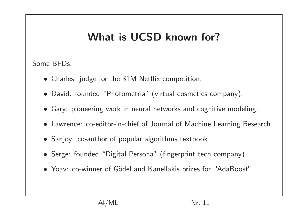## What is UCSD known for?

Some BFDs:

- Charles: judge for the \$1M Netflix competition.
- David: founded "Photometria" (virtual cosmetics company).
- Gary: pioneering work in neural networks and cognitive modeling.
- Lawrence: co-editor-in-chief of Journal of Machine Learning Research.
- Sanjoy: co-author of popular algorithms textbook.
- Serge: founded "Digital Persona" (fingerprint tech company).
- Yoav: co-winner of Gödel and Kanellakis prizes for "AdaBoost".